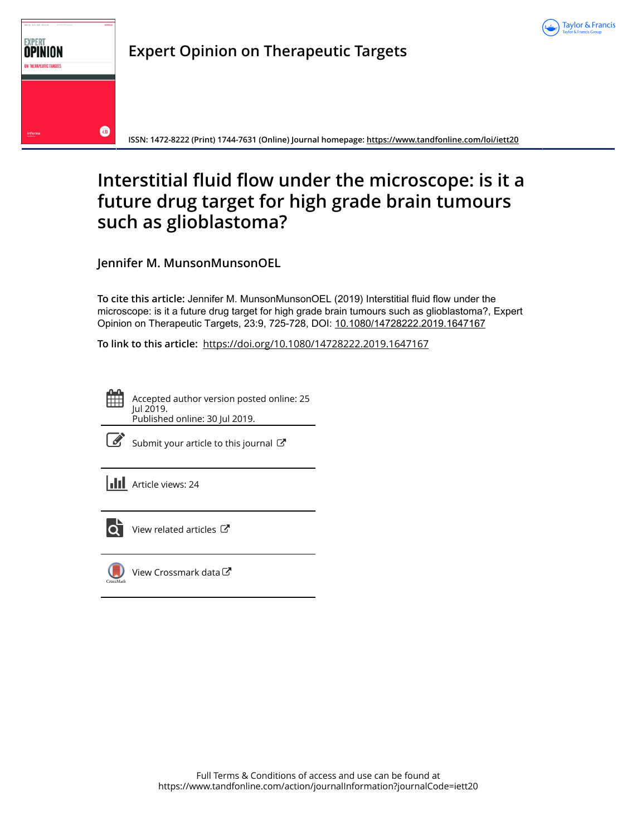



**Expert Opinion on Therapeutic Targets**

**ISSN: 1472-8222 (Print) 1744-7631 (Online) Journal homepage:<https://www.tandfonline.com/loi/iett20>**

# **Interstitial fluid flow under the microscope: is it a future drug target for high grade brain tumours such as glioblastoma?**

**Jennifer M. MunsonMunsonOEL**

**To cite this article:** Jennifer M. MunsonMunsonOEL (2019) Interstitial fluid flow under the microscope: is it a future drug target for high grade brain tumours such as glioblastoma?, Expert Opinion on Therapeutic Targets, 23:9, 725-728, DOI: [10.1080/14728222.2019.1647167](https://www.tandfonline.com/action/showCitFormats?doi=10.1080/14728222.2019.1647167)

**To link to this article:** <https://doi.org/10.1080/14728222.2019.1647167>

Accepted author version posted online: 25 Jul 2019. Published online: 30 Jul 2019.



[Submit your article to this journal](https://www.tandfonline.com/action/authorSubmission?journalCode=iett20&show=instructions)  $\mathbb{Z}$ 

**Article views: 24** 



[View related articles](https://www.tandfonline.com/doi/mlt/10.1080/14728222.2019.1647167)  $\mathbb{Z}$ 



[View Crossmark data](http://crossmark.crossref.org/dialog/?doi=10.1080/14728222.2019.1647167&domain=pdf&date_stamp=2019-07-25) C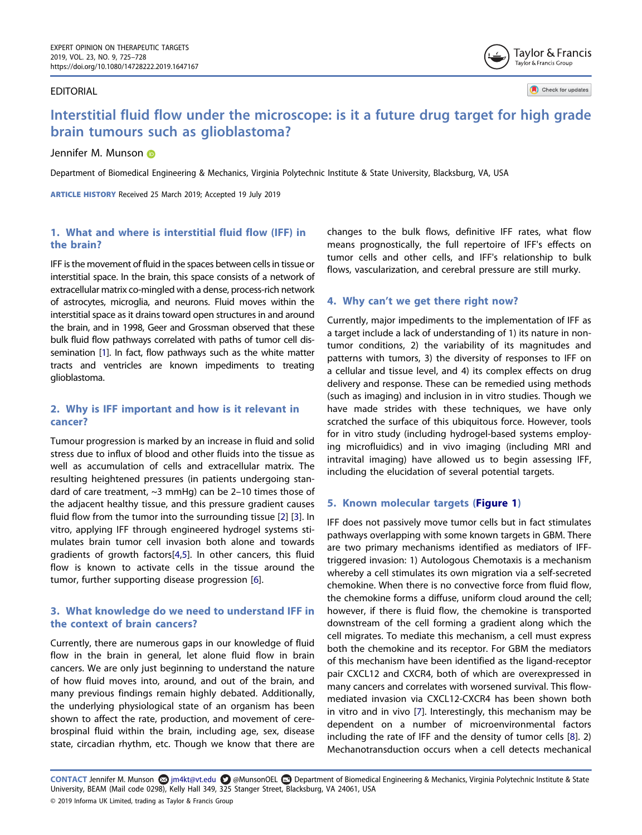#### EDITORIAL

Taylor & Francis Taylor & Francis Group

# Interstitial fluid flow under the microscope: is it a future drug target for high grade brain tumours such as glioblastoma?

# Je[n](http://orcid.org/0000-0002-9477-1505)nifer M. Munson <sup>O</sup>

Department of Biomedical Engineering & Mechanics, Virginia Polytechnic Institute & State University, Blacksburg, VA, USA

ARTICLE HISTORY Received 25 March 2019; Accepted 19 July 2019

# 1. What and where is interstitial fluid flow (IFF) in the brain?

IFF is the movement of fluid in the spaces between cells in tissue or interstitial space. In the brain, this space consists of a network of extracellular matrix co-mingled with a dense, process-rich network of astrocytes, microglia, and neurons. Fluid moves within the interstitial space as it drains toward open structures in and around the brain, and in 1998, Geer and Grossman observed that these bulk fluid flow pathways correlated with paths of tumor cell dissemination [\[1](#page-3-0)]. In fact, flow pathways such as the white matter tracts and ventricles are known impediments to treating glioblastoma.

# <span id="page-1-0"></span>2. Why is IFF important and how is it relevant in cancer?

<span id="page-1-1"></span>Tumour progression is marked by an increase in fluid and solid stress due to influx of blood and other fluids into the tissue as well as accumulation of cells and extracellular matrix. The resulting heightened pressures (in patients undergoing standard of care treatment,  $\sim$ 3 mmHg) can be 2–10 times those of the adjacent healthy tissue, and this pressure gradient causes fluid flow from the tumor into the surrounding tissue [\[2](#page-3-1)] [\[3\]](#page-3-2). In vitro, applying IFF through engineered hydrogel systems stimulates brain tumor cell invasion both alone and towards gradients of growth factors[[4,](#page-3-3)[5\]](#page-3-4). In other cancers, this fluid flow is known to activate cells in the tissue around the tumor, further supporting disease progression [[6\]](#page-3-5).

# <span id="page-1-3"></span><span id="page-1-2"></span>3. What knowledge do we need to understand IFF in the context of brain cancers?

Currently, there are numerous gaps in our knowledge of fluid flow in the brain in general, let alone fluid flow in brain cancers. We are only just beginning to understand the nature of how fluid moves into, around, and out of the brain, and many previous findings remain highly debated. Additionally, the underlying physiological state of an organism has been shown to affect the rate, production, and movement of cerebrospinal fluid within the brain, including age, sex, disease state, circadian rhythm, etc. Though we know that there are changes to the bulk flows, definitive IFF rates, what flow means prognostically, the full repertoire of IFF's effects on tumor cells and other cells, and IFF's relationship to bulk flows, vascularization, and cerebral pressure are still murky.

#### 4. Why can't we get there right now?

Currently, major impediments to the implementation of IFF as a target include a lack of understanding of 1) its nature in nontumor conditions, 2) the variability of its magnitudes and patterns with tumors, 3) the diversity of responses to IFF on a cellular and tissue level, and 4) its complex effects on drug delivery and response. These can be remedied using methods (such as imaging) and inclusion in in vitro studies. Though we have made strides with these techniques, we have only scratched the surface of this ubiquitous force. However, tools for in vitro study (including hydrogel-based systems employing microfluidics) and in vivo imaging (including MRI and intravital imaging) have allowed us to begin assessing IFF, including the elucidation of several potential targets.

#### 5. Known molecular targets [\(Figure 1\)](#page-2-0)

<span id="page-1-5"></span><span id="page-1-4"></span>IFF does not passively move tumor cells but in fact stimulates pathways overlapping with some known targets in GBM. There are two primary mechanisms identified as mediators of IFFtriggered invasion: 1) Autologous Chemotaxis is a mechanism whereby a cell stimulates its own migration via a self-secreted chemokine. When there is no convective force from fluid flow, the chemokine forms a diffuse, uniform cloud around the cell; however, if there is fluid flow, the chemokine is transported downstream of the cell forming a gradient along which the cell migrates. To mediate this mechanism, a cell must express both the chemokine and its receptor. For GBM the mediators of this mechanism have been identified as the ligand-receptor pair CXCL12 and CXCR4, both of which are overexpressed in many cancers and correlates with worsened survival. This flowmediated invasion via CXCL12-CXCR4 has been shown both in vitro and in vivo [[7](#page-3-6)]. Interestingly, this mechanism may be dependent on a number of microenvironmental factors including the rate of IFF and the density of tumor cells [\[8](#page-3-7)]. 2) Mechanotransduction occurs when a cell detects mechanical

CONTACT Jennifer M. Munson **۞** jm4kt@vt.edu **۞** @MunsonOEL **۞** [Department of Biomedical Engineering & Mechanics, Virginia Polytechnic Institute & State](http://twitter.com/share?text=@MunsonOEL&url=http://www.dx.doi.org/10.1080/14728222.2019.1647167) [University, BEAM \(Mail code 0298\), Kelly Hall 349, 325 Stanger Street, Blacksburg, VA 24061, USA](http://twitter.com/share?text=@MunsonOEL&url=http://www.dx.doi.org/10.1080/14728222.2019.1647167)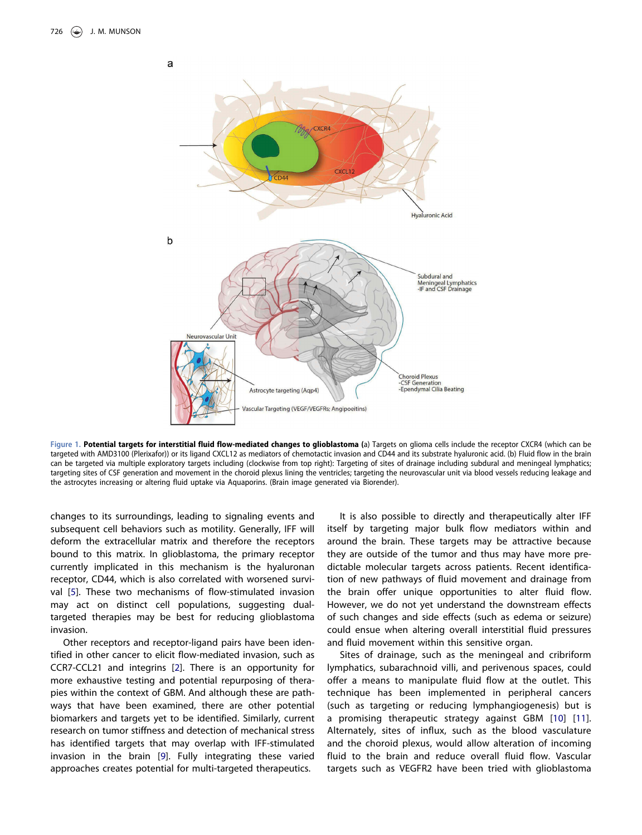a



<span id="page-2-0"></span>Figure 1. Potential targets for interstitial fluid flow-mediated changes to glioblastoma (a) Targets on glioma cells include the receptor CXCR4 (which can be targeted with AMD3100 (Plerixafor)) or its ligand CXCL12 as mediators of chemotactic invasion and CD44 and its substrate hyaluronic acid. (b) Fluid flow in the brain can be targeted via multiple exploratory targets including (clockwise from top right): Targeting of sites of drainage including subdural and meningeal lymphatics; targeting sites of CSF generation and movement in the choroid plexus lining the ventricles; targeting the neurovascular unit via blood vessels reducing leakage and the astrocytes increasing or altering fluid uptake via Aquaporins. (Brain image generated via Biorender).

changes to its surroundings, leading to signaling events and subsequent cell behaviors such as motility. Generally, IFF will deform the extracellular matrix and therefore the receptors bound to this matrix. In glioblastoma, the primary receptor currently implicated in this mechanism is the hyaluronan receptor, CD44, which is also correlated with worsened survival [\[5\]](#page-3-4). These two mechanisms of flow-stimulated invasion may act on distinct cell populations, suggesting dualtargeted therapies may be best for reducing glioblastoma invasion.

<span id="page-2-1"></span>Other receptors and receptor-ligand pairs have been identified in other cancer to elicit flow-mediated invasion, such as CCR7-CCL21 and integrins [[2\]](#page-3-1). There is an opportunity for more exhaustive testing and potential repurposing of therapies within the context of GBM. And although these are pathways that have been examined, there are other potential biomarkers and targets yet to be identified. Similarly, current research on tumor stiffness and detection of mechanical stress has identified targets that may overlap with IFF-stimulated invasion in the brain [\[9](#page-3-8)]. Fully integrating these varied approaches creates potential for multi-targeted therapeutics.

It is also possible to directly and therapeutically alter IFF itself by targeting major bulk flow mediators within and around the brain. These targets may be attractive because they are outside of the tumor and thus may have more predictable molecular targets across patients. Recent identification of new pathways of fluid movement and drainage from the brain offer unique opportunities to alter fluid flow. However, we do not yet understand the downstream effects of such changes and side effects (such as edema or seizure) could ensue when altering overall interstitial fluid pressures and fluid movement within this sensitive organ.

<span id="page-2-2"></span>Sites of drainage, such as the meningeal and cribriform lymphatics, subarachnoid villi, and perivenous spaces, could offer a means to manipulate fluid flow at the outlet. This technique has been implemented in peripheral cancers (such as targeting or reducing lymphangiogenesis) but is a promising therapeutic strategy against GBM [[10\]](#page-3-9) [[11\]](#page-3-10). Alternately, sites of influx, such as the blood vasculature and the choroid plexus, would allow alteration of incoming fluid to the brain and reduce overall fluid flow. Vascular targets such as VEGFR2 have been tried with glioblastoma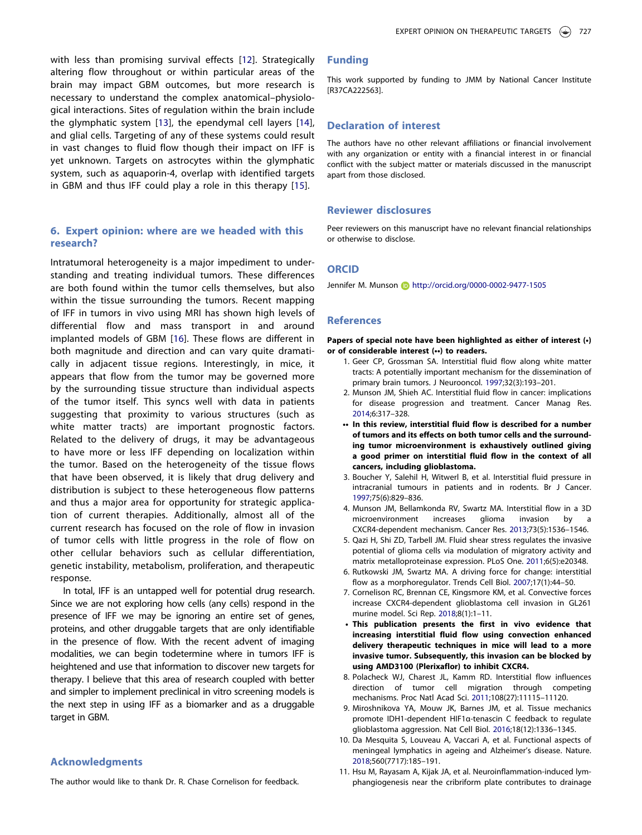<span id="page-3-12"></span><span id="page-3-11"></span>with less than promising survival effects [[12](#page-4-0)]. Strategically altering flow throughout or within particular areas of the brain may impact GBM outcomes, but more research is necessary to understand the complex anatomical–physiological interactions. Sites of regulation within the brain include the glymphatic system [\[13](#page-4-1)], the ependymal cell layers [[14\]](#page-4-2), and glial cells. Targeting of any of these systems could result in vast changes to fluid flow though their impact on IFF is yet unknown. Targets on astrocytes within the glymphatic system, such as aquaporin-4, overlap with identified targets in GBM and thus IFF could play a role in this therapy [\[15](#page-4-3)].

## <span id="page-3-13"></span>6. Expert opinion: where are we headed with this research?

<span id="page-3-14"></span>Intratumoral heterogeneity is a major impediment to understanding and treating individual tumors. These differences are both found within the tumor cells themselves, but also within the tissue surrounding the tumors. Recent mapping of IFF in tumors in vivo using MRI has shown high levels of differential flow and mass transport in and around implanted models of GBM [[16\]](#page-4-4). These flows are different in both magnitude and direction and can vary quite dramatically in adjacent tissue regions. Interestingly, in mice, it appears that flow from the tumor may be governed more by the surrounding tissue structure than individual aspects of the tumor itself. This syncs well with data in patients suggesting that proximity to various structures (such as white matter tracts) are important prognostic factors. Related to the delivery of drugs, it may be advantageous to have more or less IFF depending on localization within the tumor. Based on the heterogeneity of the tissue flows that have been observed, it is likely that drug delivery and distribution is subject to these heterogeneous flow patterns and thus a major area for opportunity for strategic application of current therapies. Additionally, almost all of the current research has focused on the role of flow in invasion of tumor cells with little progress in the role of flow on other cellular behaviors such as cellular differentiation, genetic instability, metabolism, proliferation, and therapeutic response.

In total, IFF is an untapped well for potential drug research. Since we are not exploring how cells (any cells) respond in the presence of IFF we may be ignoring an entire set of genes, proteins, and other druggable targets that are only identifiable in the presence of flow. With the recent advent of imaging modalities, we can begin todetermine where in tumors IFF is heightened and use that information to discover new targets for therapy. I believe that this area of research coupled with better and simpler to implement preclinical in vitro screening models is the next step in using IFF as a biomarker and as a druggable target in GBM.

#### Acknowledgments

The author would like to thank Dr. R. Chase Cornelison for feedback.

#### Funding

This work supported by funding to JMM by National Cancer Institute [R37CA222563].

### Declaration of interest

The authors have no other relevant affiliations or financial involvement with any organization or entity with a financial interest in or financial conflict with the subject matter or materials discussed in the manuscript apart from those disclosed.

#### Reviewer disclosures

Peer reviewers on this manuscript have no relevant financial relationships or otherwise to disclose.

#### **ORCID**

Jennifer M. Munson **b** http://orcid.org/0000-0002-9477-1505

#### References

Papers of special note have been highlighted as either of interest (•) or of considerable interest (••) to readers.

- <span id="page-3-0"></span>1. Geer CP, Grossman SA. Interstitial fluid flow along white matter tracts: A potentially important mechanism for the dissemination of primary brain tumors. J Neurooncol. [1997](#page-1-0);32(3):193–201.
- <span id="page-3-1"></span>2. Munson JM, Shieh AC. Interstitial fluid flow in cancer: implications for disease progression and treatment. Cancer Manag Res. [2014](#page-1-1);6:317–328.
- •• In this review, interstitial fluid flow is described for a number of tumors and its effects on both tumor cells and the surrounding tumor microenvironment is exhaustively outlined giving a good primer on interstitial fluid flow in the context of all cancers, including glioblastoma.
- <span id="page-3-2"></span>3. Boucher Y, Salehil H, Witwerl B, et al. Interstitial fluid pressure in intracranial tumours in patients and in rodents. Br J Cancer. [1997](#page-1-1);75(6):829–836.
- <span id="page-3-3"></span>4. Munson JM, Bellamkonda RV, Swartz MA. Interstitial flow in a 3D microenvironment increases glioma invasion by a CXCR4-dependent mechanism. Cancer Res. [2013](#page-1-2);73(5):1536–1546.
- <span id="page-3-4"></span>5. Qazi H, Shi ZD, Tarbell JM. Fluid shear stress regulates the invasive potential of glioma cells via modulation of migratory activity and matrix metalloproteinase expression. PLoS One. [2011](#page-1-2);6(5):e20348.
- <span id="page-3-5"></span>6. Rutkowski JM, Swartz MA. A driving force for change: interstitial flow as a morphoregulator. Trends Cell Biol. [2007;](#page-1-3)17(1):44–50.
- <span id="page-3-6"></span>7. Cornelison RC, Brennan CE, Kingsmore KM, et al. Convective forces increase CXCR4-dependent glioblastoma cell invasion in GL261 murine model. Sci Rep. [2018;](#page-1-4)8(1):1–11.
- This publication presents the first in vivo evidence that increasing interstitial fluid flow using convection enhanced delivery therapeutic techniques in mice will lead to a more invasive tumor. Subsequently, this invasion can be blocked by using AMD3100 (Plerixaflor) to inhibit CXCR4.
- <span id="page-3-7"></span>8. Polacheck WJ, Charest JL, Kamm RD. Interstitial flow influences direction of tumor cell migration through competing mechanisms. Proc Natl Acad Sci. [2011](#page-1-5);108(27):11115–11120.
- <span id="page-3-8"></span>9. Miroshnikova YA, Mouw JK, Barnes JM, et al. Tissue mechanics promote IDH1-dependent HIF1α-tenascin C feedback to regulate glioblastoma aggression. Nat Cell Biol. [2016](#page-2-1);18(12):1336–1345.
- <span id="page-3-9"></span>10. Da Mesquita S, Louveau A, Vaccari A, et al. Functional aspects of meningeal lymphatics in ageing and Alzheimer's disease. Nature. [2018](#page-2-2);560(7717):185–191.
- <span id="page-3-10"></span>11. Hsu M, Rayasam A, Kijak JA, et al. Neuroinflammation-induced lymphangiogenesis near the cribriform plate contributes to drainage